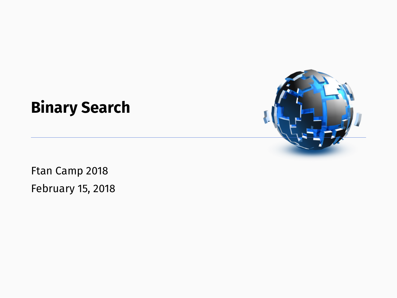# **Binary Search**

Ftan Camp 2018 February 15, 2018

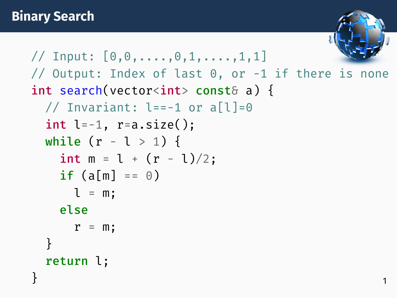```
\frac{1}{2} Input: [0,0,\ldots,0,1,\ldots,1,1]// Output: Index of last 0, or -1 if there is none
int search(vector<int> const& a) {
 // Invariant: l==-1 or a[l]=0
 int l=-1, r=a.size():
 while (r - l > 1) {
   int m = 1 + (r - 1)/2;
   if (a[m] == 0)l = m;
   else
     r = m;
  }
 return l;
} 1
```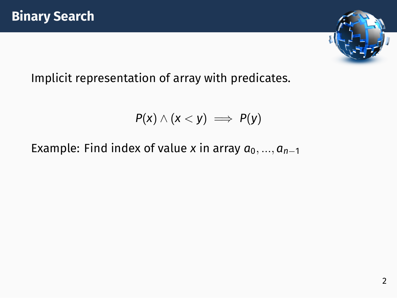

Implicit representation of array with predicates.

$$
P(x) \wedge (x < y) \implies P(y)
$$

Example: Find index of value *x* in array  $a_0, ..., a_{n-1}$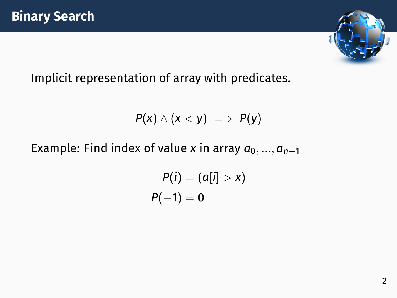

Implicit representation of array with predicates.

$$
P(x) \wedge (x < y) \implies P(y)
$$

Example: Find index of value *x* in array  $a_0, ..., a_{n-1}$ 

$$
P(i) = (a[i] > x)
$$

$$
P(-1) = 0
$$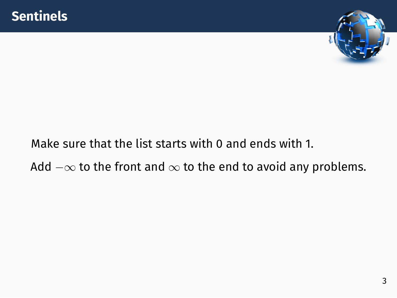

## Make sure that the list starts with 0 and ends with 1.

#### Add *−∞* to the front and *∞* to the end to avoid any problems.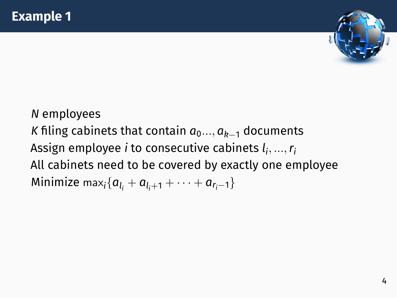

*N* employees *K* filing cabinets that contain  $a_0$ ...,  $a_{k-1}$  documents Assign employee *i* to consecutive cabinets *l i , ...,r<sup>i</sup>* All cabinets need to be covered by exactly one employee  $\textsf{Minimize } \max_i \{a_{l_i} + a_{l_i+1} + \cdots + a_{r_i-1}\}$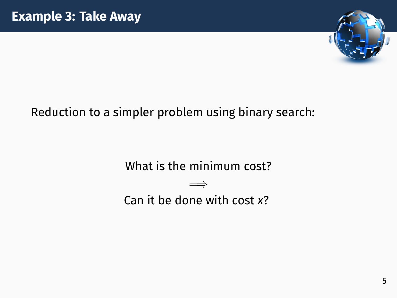

#### Reduction to a simpler problem using binary search:

What is the minimum cost? =*⇒*

Can it be done with cost *x*?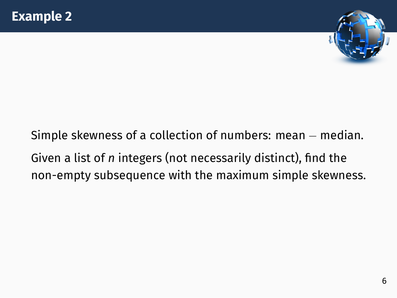

## Simple skewness of a collection of numbers: mean *−* median. Given a list of *n* integers (not necessarily distinct), find the non-empty subsequence with the maximum simple skewness.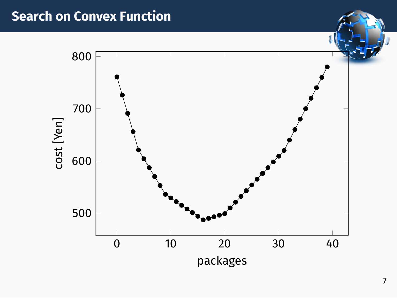#### **Search on Convex Function**

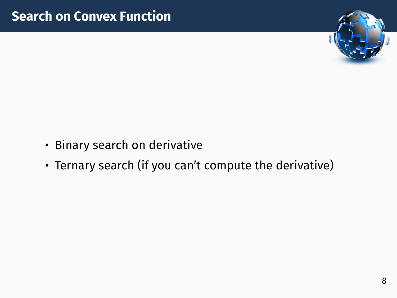

- Binary search on derivative
- Ternary search (if you can't compute the derivative)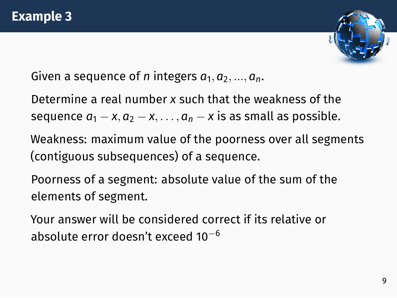

Given a sequence of *n* integers  $a_1, a_2, ..., a_n$ .

Determine a real number *x* such that the weakness of the sequence  $a_1 - x$ ,  $a_2 - x$ , . . . ,  $a_n - x$  is as small as possible.

Weakness: maximum value of the poorness over all segments (contiguous subsequences) of a sequence.

Poorness of a segment: absolute value of the sum of the elements of segment.

Your answer will be considered correct if its relative or absolute error doesn't exceed 10*−*<sup>6</sup>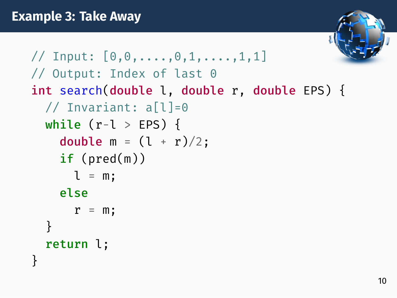```
\frac{1}{2} Input: [0,0,\ldots,0,1,\ldots,1,1]// Output: Index of last 0
int search(double l, double r, double EPS) {
  // Invariant: a[l]=0
  while (r-l > EPS) {
    double m = (l + r)/2;
    if (pred(m))l = m:
    else
      r = m;
  }
  return l;
}
```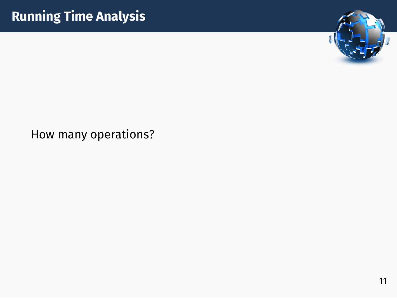

#### How many operations?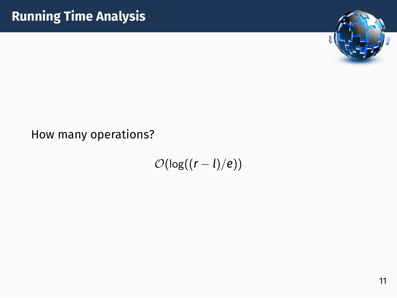

#### How many operations?

*O*(log((*r − l*)*/e*))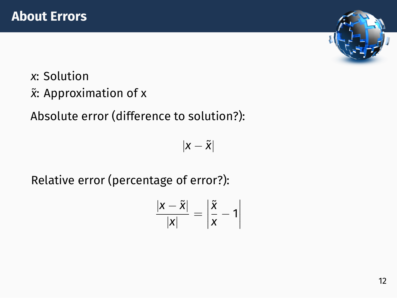

*x*: Solution ˜*x*: Approximation of x

Absolute error (difference to solution?):

*|x −* ˜*x|*

Relative error (percentage of error?):

$$
\frac{|x-\tilde{x}|}{|x|}=\left|\frac{\tilde{x}}{x}-1\right|
$$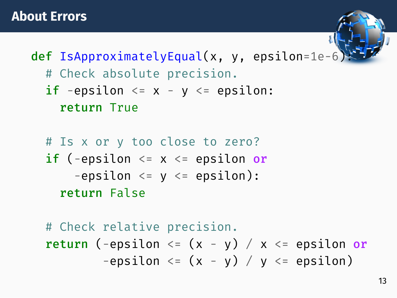def IsApproximatelyEqual(x, y, epsilon=1e-6): # Check absolute precision. if -epsilon  $\leq x - y \leq$  epsilon: return True

# Is x or y too close to zero? if (-epsilon  $\leq x \leq$  epsilon or  $-$ epsilon  $\leq$   $\leq$   $\leq$  epsilon): return False

# Check relative precision. return (-epsilon  $\leq$  (x - y) / x  $\leq$  epsilon or -epsilon  $\leq$   $(x - y) / y \leq$  epsilon)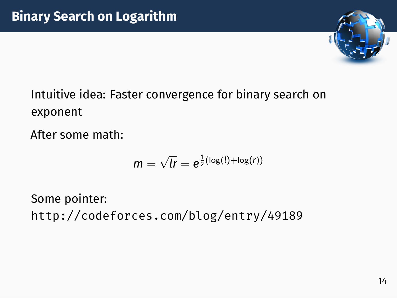# **Binary Search on Logarithm**



Intuitive idea: Faster convergence for binary search on exponent

After some math:

$$
m=\sqrt{lr}=e^{\frac{1}{2}(\log(l)+\log(r))}
$$

Some pointer: http://codeforces.com/blog/entry/49189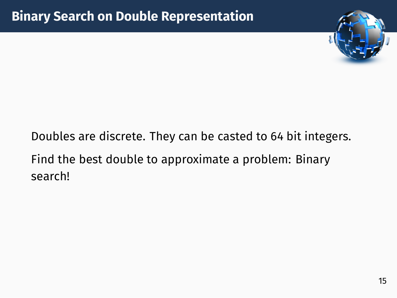

## Doubles are discrete. They can be casted to 64 bit integers. Find the best double to approximate a problem: Binary search!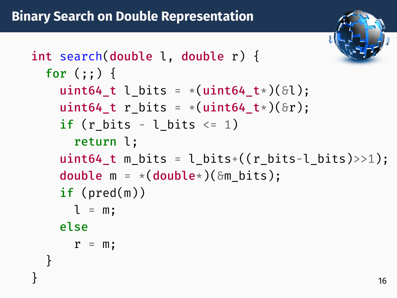int search(double l, double r) { for  $(::)$  { uint64 t l bits =  $*($ uint64 t  $*)(\delta l);$ uint64 t r bits =  $*($ uint64 t $*)($ &r); if (r bits - l bits  $\leq 1$ ) return l; uint64 t m bits = l bits+((r bits-l bits)>>1); double  $m = *({\text{double*}})(\delta m \text{ bits}):$ if (pred(m))  $l = m$ : else  $r = m$ ; }  $\}$  16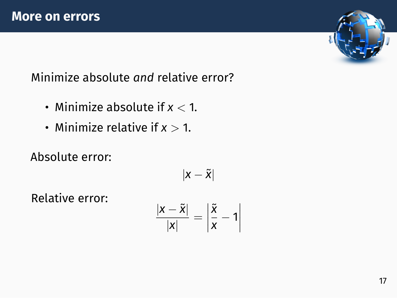

Minimize absolute *and* relative error?

- Minimize absolute if *x <* 1.
- Minimize relative if *x >* 1.

Absolute error:

$$
\vert x-\tilde{x}\vert
$$

Relative error:

$$
\frac{|x-\tilde{x}|}{|x|}=\left|\frac{\tilde{x}}{x}-1\right|
$$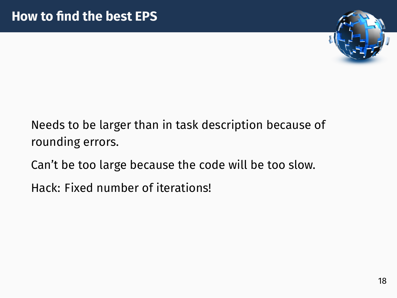

Needs to be larger than in task description because of rounding errors.

Can't be too large because the code will be too slow.

Hack: Fixed number of iterations!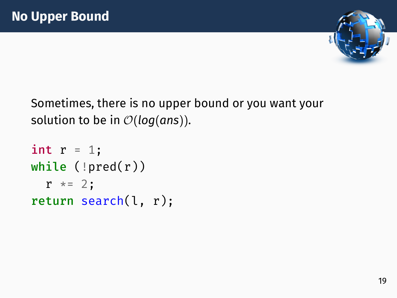

Sometimes, there is no upper bound or you want your solution to be in *O*(*log*(*ans*)).

```
int r = 1;
while (\text{pred}(r))r * = 2;return search(l, r);
```